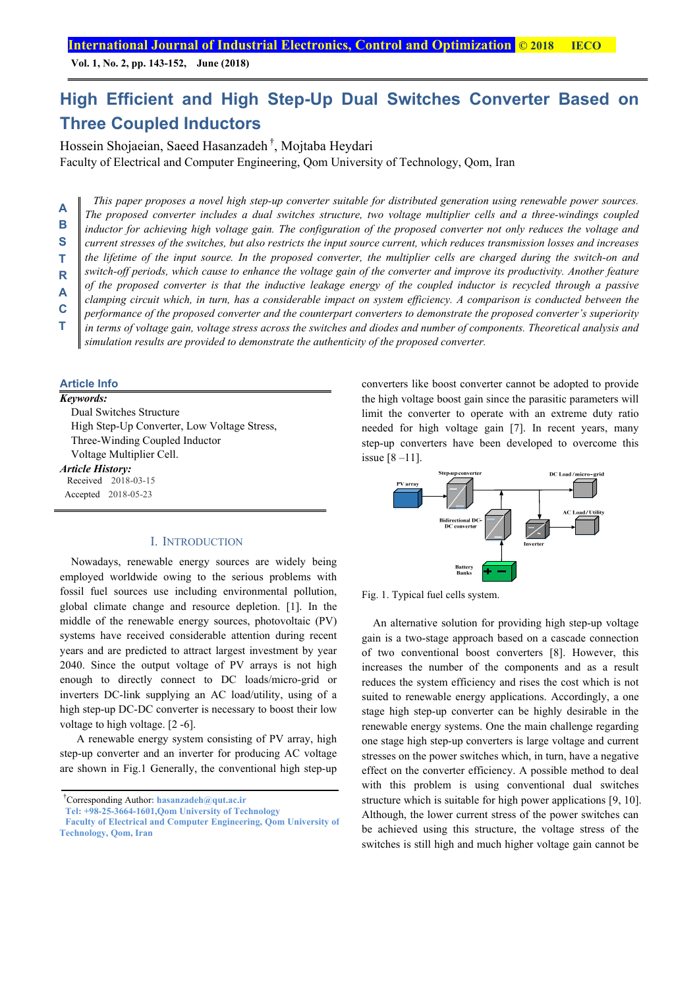**Vol. 1, No. 2, pp. 143-152, June (2018)**

## **High Efficient and High Step-Up Dual Switches Converter Based on Three Coupled Inductors**

Hossein Shojaeian, Saeed Hasanzadeh †, Mojtaba Heydari

Faculty of Electrical and Computer Engineering, Qom University of Technology, Qom, Iran

*This paper proposes a novel high step-up converter suitable for distributed generation using renewable power sources. The proposed converter includes a dual switches structure, two voltage multiplier cells and a three-windings coupled inductor for achieving high voltage gain. The configuration of the proposed converter not only reduces the voltage and current stresses of the switches, but also restricts the input source current, which reduces transmission losses and increases the lifetime of the input source. In the proposed converter, the multiplier cells are charged during the switch-on and switch-off periods, which cause to enhance the voltage gain of the converter and improve its productivity. Another feature of the proposed converter is that the inductive leakage energy of the coupled inductor is recycled through a passive clamping circuit which, in turn, has a considerable impact on system efficiency. A comparison is conducted between the performance of the proposed converter and the counterpart converters to demonstrate the proposed converter's superiority in terms of voltage gain, voltage stress across the switches and diodes and number of components. Theoretical analysis and simulation results are provided to demonstrate the authenticity of the proposed converter.*  **A B S T R A C T** 

**Article Info** 

| Keywords:               |                                             |
|-------------------------|---------------------------------------------|
|                         | Dual Switches Structure                     |
|                         | High Step-Up Converter, Low Voltage Stress, |
|                         | Three-Winding Coupled Inductor              |
|                         | Voltage Multiplier Cell.                    |
| <b>Article History:</b> |                                             |
|                         | Received 2018-03-15                         |
|                         | Accepted 2018-05-23                         |

## I. INTRODUCTION

Nowadays, renewable energy sources are widely being employed worldwide owing to the serious problems with fossil fuel sources use including environmental pollution, global climate change and resource depletion. [1]. In the middle of the renewable energy sources, photovoltaic (PV) systems have received considerable attention during recent years and are predicted to attract largest investment by year 2040. Since the output voltage of PV arrays is not high enough to directly connect to DC loads/micro-grid or inverters DC-link supplying an AC load/utility, using of a high step-up DC-DC converter is necessary to boost their low voltage to high voltage. [2 -6].

 A renewable energy system consisting of PV array, high step-up converter and an inverter for producing AC voltage are shown in Fig.1 Generally, the conventional high step-up

† Corresponding Author**: hasanzadeh@qut.ac.ir** 

**Tel: +98-25-3664-1601,Qom University of Technology** 

converters like boost converter cannot be adopted to provide the high voltage boost gain since the parasitic parameters will limit the converter to operate with an extreme duty ratio needed for high voltage gain [7]. In recent years, many step-up converters have been developed to overcome this issue  $[8 - 11]$ .



Fig. 1. Typical fuel cells system.

An alternative solution for providing high step-up voltage gain is a two-stage approach based on a cascade connection of two conventional boost converters [8]. However, this increases the number of the components and as a result reduces the system efficiency and rises the cost which is not suited to renewable energy applications. Accordingly, a one stage high step-up converter can be highly desirable in the renewable energy systems. One the main challenge regarding one stage high step-up converters is large voltage and current stresses on the power switches which, in turn, have a negative effect on the converter efficiency. A possible method to deal with this problem is using conventional dual switches structure which is suitable for high power applications [9, 10]. Although, the lower current stress of the power switches can be achieved using this structure, the voltage stress of the switches is still high and much higher voltage gain cannot be

**Faculty of Electrical and Computer Engineering, Qom University of Technology, Qom, Iran**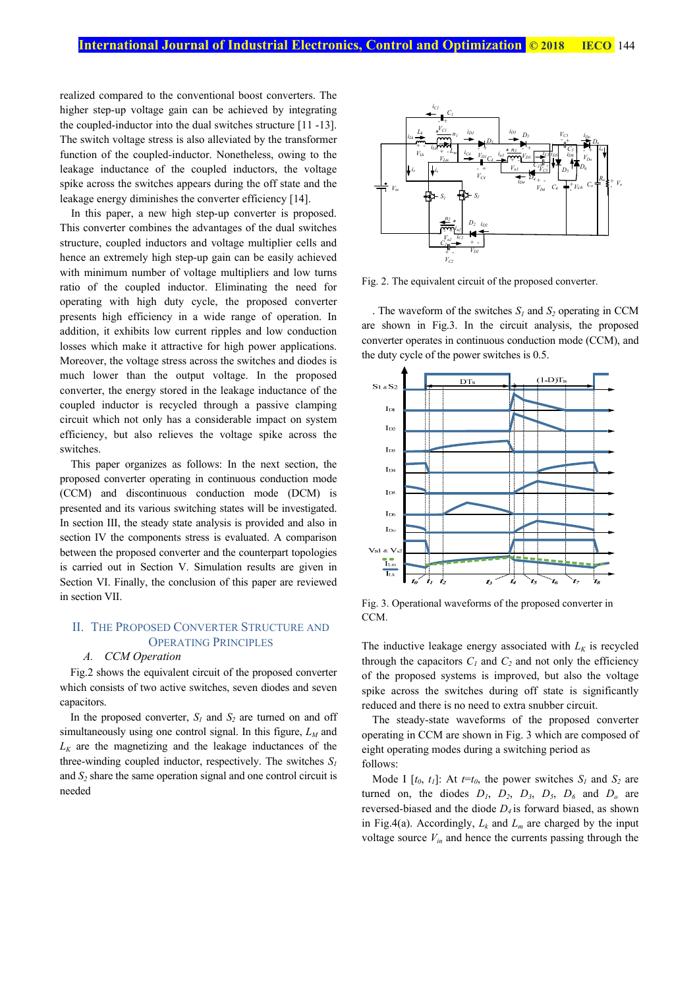realized compared to the conventional boost converters. The higher step-up voltage gain can be achieved by integrating the coupled-inductor into the dual switches structure [11 -13]. The switch voltage stress is also alleviated by the transformer function of the coupled-inductor. Nonetheless, owing to the leakage inductance of the coupled inductors, the voltage spike across the switches appears during the off state and the leakage energy diminishes the converter efficiency [14].

In this paper, a new high step-up converter is proposed. This converter combines the advantages of the dual switches structure, coupled inductors and voltage multiplier cells and hence an extremely high step-up gain can be easily achieved with minimum number of voltage multipliers and low turns ratio of the coupled inductor. Eliminating the need for operating with high duty cycle, the proposed converter presents high efficiency in a wide range of operation. In addition, it exhibits low current ripples and low conduction losses which make it attractive for high power applications. Moreover, the voltage stress across the switches and diodes is much lower than the output voltage. In the proposed converter, the energy stored in the leakage inductance of the coupled inductor is recycled through a passive clamping circuit which not only has a considerable impact on system efficiency, but also relieves the voltage spike across the switches.

This paper organizes as follows: In the next section, the proposed converter operating in continuous conduction mode (CCM) and discontinuous conduction mode (DCM) is presented and its various switching states will be investigated. In section III, the steady state analysis is provided and also in section IV the components stress is evaluated. A comparison between the proposed converter and the counterpart topologies is carried out in Section V. Simulation results are given in Section VI. Finally, the conclusion of this paper are reviewed in section VII.

## II. THE PROPOSED CONVERTER STRUCTURE AND OPERATING PRINCIPLES

## *A. CCM Operation*

Fig.2 shows the equivalent circuit of the proposed converter which consists of two active switches, seven diodes and seven capacitors.

In the proposed converter,  $S_l$  and  $S_2$  are turned on and off simultaneously using one control signal. In this figure,  $L_M$  and  $L_K$  are the magnetizing and the leakage inductances of the three-winding coupled inductor, respectively. The switches *S1* and  $S_2$  share the same operation signal and one control circuit is needed



Fig. 2. The equivalent circuit of the proposed converter.

. The waveform of the switches  $S_l$  and  $S_2$  operating in CCM are shown in Fig.3. In the circuit analysis, the proposed converter operates in continuous conduction mode (CCM), and the duty cycle of the power switches is 0.5.



Fig. 3. Operational waveforms of the proposed converter in CCM.

The inductive leakage energy associated with  $L_K$  is recycled through the capacitors  $C_1$  and  $C_2$  and not only the efficiency of the proposed systems is improved, but also the voltage spike across the switches during off state is significantly reduced and there is no need to extra snubber circuit.

The steady-state waveforms of the proposed converter operating in CCM are shown in Fig. 3 which are composed of eight operating modes during a switching period as follows:

Mode I  $[t_0, t_1]$ : At  $t=t_0$ , the power switches  $S_1$  and  $S_2$  are turned on, the diodes  $D_1$ ,  $D_2$ ,  $D_3$ ,  $D_5$ ,  $D_6$  and  $D_0$  are reversed-biased and the diode *D4* is forward biased, as shown in Fig.4(a). Accordingly,  $L_k$  and  $L_m$  are charged by the input voltage source  $V_{in}$  and hence the currents passing through the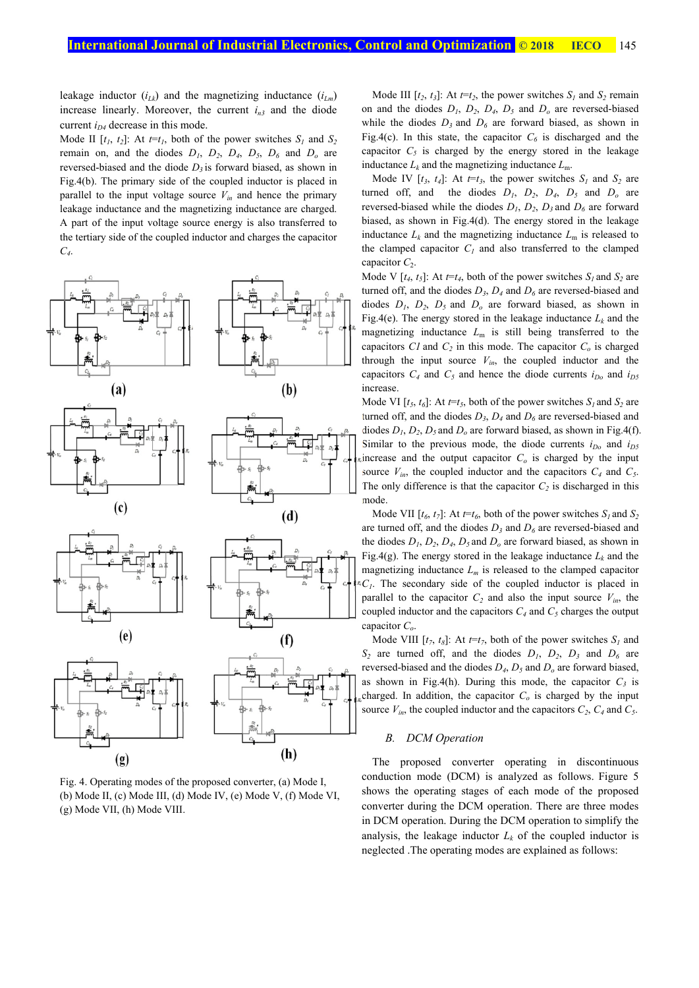leakage inductor  $(i_{Lk})$  and the magnetizing inductance  $(i_{Lm})$ increase linearly. Moreover, the current  $i_{n3}$  and the diode current  $i<sub>D4</sub>$  decrease in this mode.

Mode II  $[t_1, t_2]$ : At  $t=t_1$ , both of the power switches  $S_1$  and  $S_2$ remain on, and the diodes  $D_1$ ,  $D_2$ ,  $D_4$ ,  $D_5$ ,  $D_6$  and  $D_0$  are reversed-biased and the diode  $D_3$  is forward biased, as shown in Fig.4(b). The primary side of the coupled inductor is placed in parallel to the input voltage source  $V_{in}$  and hence the primary leakage inductance and the magnetizing inductance are charged. A part of the input voltage source energy is also transferred to the tertiary side of the coupled inductor and charges the capacitor *C4*.



Fig. 4. Operating modes of the proposed converter, (a) Mode I, (b) Mode II, (c) Mode III, (d) Mode IV, (e) Mode V, (f) Mode VI, (g) Mode VII, (h) Mode VIII.

Mode III  $[t_2, t_3]$ : At  $t=t_2$ , the power switches  $S_1$  and  $S_2$  remain on and the diodes  $D_1$ ,  $D_2$ ,  $D_4$ ,  $D_5$  and  $D_0$  are reversed-biased while the diodes  $D_3$  and  $D_6$  are forward biased, as shown in Fig.4(c). In this state, the capacitor  $C_6$  is discharged and the capacitor  $C_5$  is charged by the energy stored in the leakage inductance  $L_k$  and the magnetizing inductance  $L_m$ .

Mode IV  $[t_3, t_4]$ : At  $t=t_3$ , the power switches  $S_1$  and  $S_2$  are turned off, and the diodes  $D_1$ ,  $D_2$ ,  $D_4$ ,  $D_5$  and  $D_0$  are reversed-biased while the diodes  $D_1$ ,  $D_2$ ,  $D_3$  and  $D_6$  are forward biased, as shown in Fig.4(d). The energy stored in the leakage inductance  $L_k$  and the magnetizing inductance  $L_m$  is released to the clamped capacitor  $C<sub>1</sub>$  and also transferred to the clamped capacitor  $C_2$ .

Mode V  $[t_4, t_5]$ : At  $t=t_4$ , both of the power switches  $S_l$  and  $S_2$  are turned off, and the diodes  $D_3$ ,  $D_4$  and  $D_6$  are reversed-biased and diodes  $D_1$ ,  $D_2$ ,  $D_5$  and  $D_0$  are forward biased, as shown in Fig.4(e). The energy stored in the leakage inductance  $L_k$  and the magnetizing inductance  $L<sub>m</sub>$  is still being transferred to the capacitors  $CI$  and  $C_2$  in this mode. The capacitor  $C_0$  is charged through the input source  $V_{in}$ , the coupled inductor and the capacitors  $C_4$  and  $C_5$  and hence the diode currents  $i_{D_0}$  and  $i_{D_5}$ increase.

Mode VI  $[t_5, t_6]$ : At  $t=t_5$ , both of the power switches  $S_1$  and  $S_2$  are turned off, and the diodes  $D_3$ ,  $D_4$  and  $D_6$  are reversed-biased and diodes  $D_1$ ,  $D_2$ ,  $D_5$  and  $D_0$  are forward biased, as shown in Fig.4(f). Similar to the previous mode, the diode currents  $i_{D<sub>0</sub>}$  and  $i_{D<sub>5</sub>}$ increase and the output capacitor  $C<sub>o</sub>$  is charged by the input source  $V_{in}$ , the coupled inductor and the capacitors  $C_4$  and  $C_5$ . The only difference is that the capacitor  $C_2$  is discharged in this mode.

Mode VII  $[t_6, t_7]$ : At  $t=t_6$ , both of the power switches  $S_1$  and  $S_2$ are turned off, and the diodes  $D_3$  and  $D_6$  are reversed-biased and the diodes  $D_1$ ,  $D_2$ ,  $D_4$ ,  $D_5$  and  $D_0$  are forward biased, as shown in Fig.4(g). The energy stored in the leakage inductance  $L_k$  and the magnetizing inductance  $L_m$  is released to the clamped capacitor *C1*. The secondary side of the coupled inductor is placed in parallel to the capacitor  $C_2$  and also the input source  $V_{in}$ , the coupled inductor and the capacitors  $C_4$  and  $C_5$  charges the output capacitor *Co*.

Mode VIII  $[t_7, t_8]$ : At  $t=t_7$ , both of the power switches  $S_l$  and  $S_2$  are turned off, and the diodes  $D_1$ ,  $D_2$ ,  $D_3$  and  $D_6$  are reversed-biased and the diodes *D4*, *D5* and *Do* are forward biased, as shown in Fig.4(h). During this mode, the capacitor  $C_3$  is charged. In addition, the capacitor  $C<sub>o</sub>$  is charged by the input source  $V_{in}$ , the coupled inductor and the capacitors  $C_2$ ,  $C_4$  and  $C_5$ .

## *B. DCM Operation*

The proposed converter operating in discontinuous conduction mode (DCM) is analyzed as follows. Figure 5 shows the operating stages of each mode of the proposed converter during the DCM operation. There are three modes in DCM operation. During the DCM operation to simplify the analysis, the leakage inductor  $L_k$  of the coupled inductor is neglected .The operating modes are explained as follows: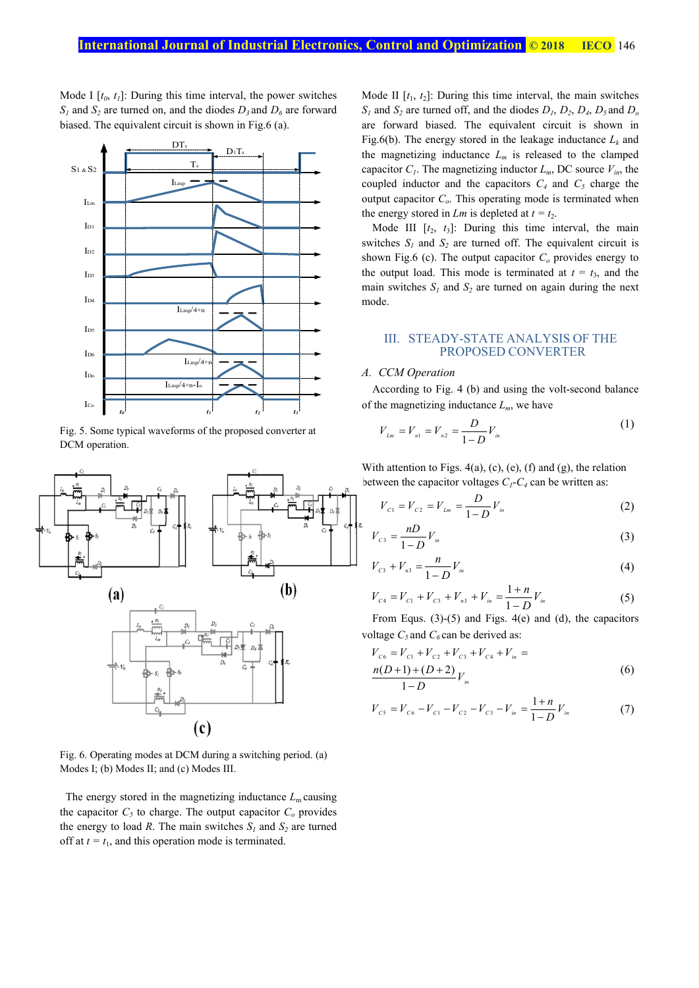Mode I  $[t_0, t_1]$ : During this time interval, the power switches  $S_1$  and  $S_2$  are turned on, and the diodes  $D_3$  and  $D_6$  are forward biased. The equivalent circuit is shown in Fig.6 (a).



Fig. 5. Some typical waveforms of the proposed converter at DCM operation.



Fig. 6. Operating modes at DCM during a switching period. (a) Modes I; (b) Modes II; and (c) Modes III.

The energy stored in the magnetizing inductance  $L<sub>m</sub>$  causing the capacitor  $C_5$  to charge. The output capacitor  $C_0$  provides the energy to load *R*. The main switches  $S_l$  and  $S_2$  are turned off at  $t = t_1$ , and this operation mode is terminated.

Mode II  $[t_1, t_2]$ : During this time interval, the main switches  $S_1$  and  $S_2$  are turned off, and the diodes  $D_1$ ,  $D_2$ ,  $D_4$ ,  $D_5$  and  $D_0$ are forward biased. The equivalent circuit is shown in Fig.6(b). The energy stored in the leakage inductance  $L_k$  and the magnetizing inductance  $L_m$  is released to the clamped capacitor  $C_l$ . The magnetizing inductor  $L_m$ , DC source  $V_{in}$ , the coupled inductor and the capacitors  $C_4$  and  $C_5$  charge the output capacitor  $C<sub>o</sub>$ . This operating mode is terminated when the energy stored in *Lm* is depleted at  $t = t_2$ .

Mode III  $[t_2, t_3]$ : During this time interval, the main switches  $S_1$  and  $S_2$  are turned off. The equivalent circuit is shown Fig.6 (c). The output capacitor  $C<sub>o</sub>$  provides energy to the output load. This mode is terminated at  $t = t_3$ , and the main switches  $S_l$  and  $S_2$  are turned on again during the next mode.

## III. STEADY-STATE ANALYSIS OF THE PROPOSED CONVERTER

## *A. CCM Operation*

According to Fig. 4 (b) and using the volt-second balance of the magnetizing inductance  $L_m$ , we have

$$
V_{L_m} = V_{n1} = V_{n2} = \frac{D}{1 - D} V_{in}
$$
 (1)

With attention to Figs.  $4(a)$ , (c), (e), (f) and (g), the relation between the capacitor voltages  $C_1$ - $C_4$  can be written as:

$$
V_{c1} = V_{c2} = V_{Lm} = \frac{D}{1 - D} V_{in}
$$
 (2)

$$
V_{c3} = \frac{nD}{1 - D} V_{in}
$$
 (3)

$$
V_{c3} + V_{n3} = \frac{n}{1 - D} V_{in}
$$
 (4)

$$
V_{C4} = V_{C1} + V_{C3} + V_{n3} + V_{in} = \frac{1+n}{1-D} V_{in}
$$
 (5)

From Equs. (3)-(5) and Figs. 4(e) and (d), the capacitors voltage  $C_5$  and  $C_6$  can be derived as:

$$
V_{C6} = V_{C1} + V_{C2} + V_{C3} + V_{C4} + V_{in} =
$$
  
\nn(D+1)+(D+2)  
\n1-D V<sub>in</sub> (6)

$$
V_{cs} = V_{cs} - V_{c1} - V_{c2} - V_{cs} - V_{in} = \frac{1+n}{1-D} V_{in}
$$
 (7)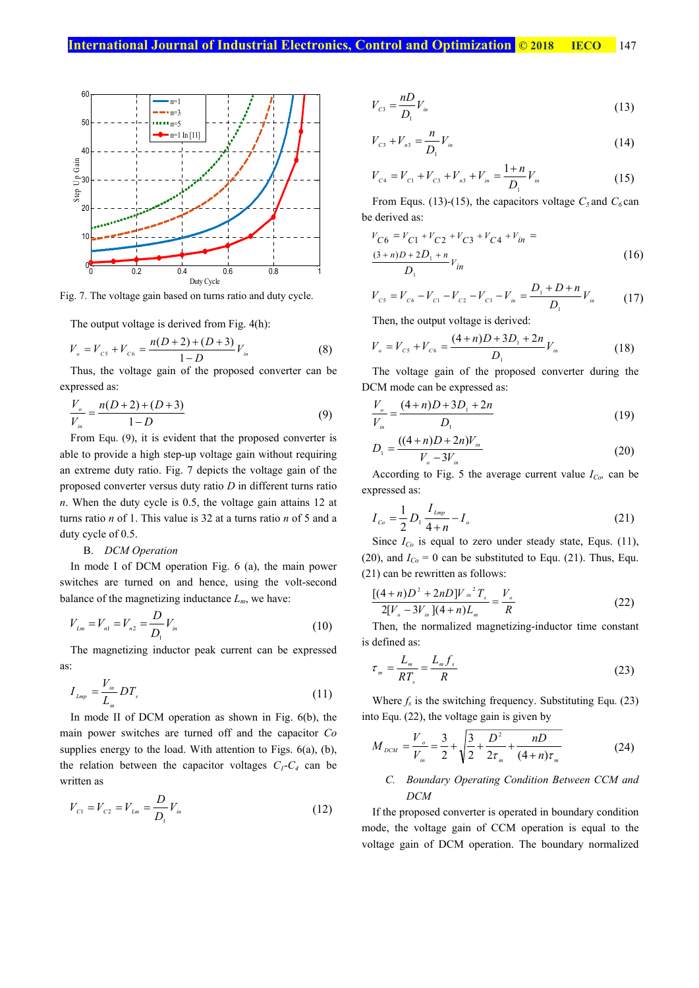

Fig. 7. The voltage gain based on turns ratio and duty cycle.

The output voltage is derived from Fig. 4(h):

$$
V_o = V_{cs} + V_{cs} = \frac{n(D+2) + (D+3)}{1 - D} V_{in}
$$
 (8)

Thus, the voltage gain of the proposed converter can be expressed as:

$$
\frac{V_o}{V_{in}} = \frac{n(D+2) + (D+3)}{1-D} \tag{9}
$$

From Equ. (9), it is evident that the proposed converter is able to provide a high step-up voltage gain without requiring an extreme duty ratio. Fig. 7 depicts the voltage gain of the proposed converter versus duty ratio *D* in different turns ratio *n*. When the duty cycle is 0.5, the voltage gain attains 12 at turns ratio *n* of 1. This value is 32 at a turns ratio *n* of 5 and a duty cycle of 0.5.

## B. *DCM Operation*

In mode I of DCM operation Fig. 6 (a), the main power switches are turned on and hence, using the volt-second balance of the magnetizing inductance  $L_m$ , we have:

$$
V_{Lm} = V_{n1} = V_{n2} = \frac{D}{D_1} V_{in}
$$
\n(10)

The magnetizing inductor peak current can be expressed as:

$$
I_{Lmp} = \frac{V_{in}}{L_m} DT_s \tag{11}
$$

In mode II of DCM operation as shown in Fig. 6(b), the main power switches are turned off and the capacitor *Co* supplies energy to the load. With attention to Figs. 6(a), (b), the relation between the capacitor voltages  $C_1-C_4$  can be written as

$$
V_{c1} = V_{c2} = V_{Lm} = \frac{D}{D_1} V_{in}
$$
\n(12)

$$
V_{c3} = \frac{nD}{D_1} V_{in}
$$
 (13)

$$
V_{c3} + V_{n3} = \frac{n}{D_1} V_{in}
$$
 (14)

$$
V_{C4} = V_{C1} + V_{C3} + V_{n3} + V_{in} = \frac{1+n}{D_1} V_{in}
$$
 (15)

From Equs. (13)-(15), the capacitors voltage  $C_5$  and  $C_6$  can be derived as:

$$
V_{C6} = V_{C1} + V_{C2} + V_{C3} + V_{C4} + V_{in} =
$$
  
\n
$$
\frac{(3+n)D + 2D_1 + n}{D_1} V_{in}
$$
\n(16)

$$
V_{cs} = V_{cs} - V_{c1} - V_{c2} - V_{cs} - V_{in} = \frac{D_1 + D + n}{D_1} V_{in}
$$
 (17)

Then, the output voltage is derived:

$$
V_o = V_{cs} + V_{cs} = \frac{(4+n)D + 3D_1 + 2n}{D_1} V_{in}
$$
 (18)

The voltage gain of the proposed converter during the DCM mode can be expressed as:

$$
\frac{V_o}{V_{in}} = \frac{(4+n)D + 3D_1 + 2n}{D_1} \tag{19}
$$

$$
D_1 = \frac{((4+n)D + 2n)V_{in}}{V_o - 3V_{in}}
$$
\n(20)

According to Fig. 5 the average current value  $I_{Co}$  can be expressed as:

$$
I_{c_o} = \frac{1}{2} D_1 \frac{I_{Lmp}}{4+n} - I_o
$$
 (21)

Since  $I_{Co}$  is equal to zero under steady state, Equs. (11), (20), and  $I_{Co} = 0$  can be substituted to Equ. (21). Thus, Equ. (21) can be rewritten as follows:

$$
\frac{[(4+n)D^{2}+2nD]V_{in}^{2}T_{s}}{2[V_{o}-3V_{in}](4+n)L_{m}}=\frac{V_{o}}{R}
$$
\n(22)

Then, the normalized magnetizing-inductor time constant is defined as:

$$
\tau_m = \frac{L_m}{RT_s} = \frac{L_m f_s}{R}
$$
\n(23)

Where  $f_s$  is the switching frequency. Substituting Equ. (23) into Equ. (22), the voltage gain is given by

$$
M_{DCM} = \frac{V_o}{V_{in}} = \frac{3}{2} + \sqrt{\frac{3}{2} + \frac{D^2}{2\tau_m} + \frac{nD}{(4+n)\tau_m}}
$$
(24)

## *C. Boundary Operating Condition Between CCM and DCM*

If the proposed converter is operated in boundary condition mode, the voltage gain of CCM operation is equal to the voltage gain of DCM operation. The boundary normalized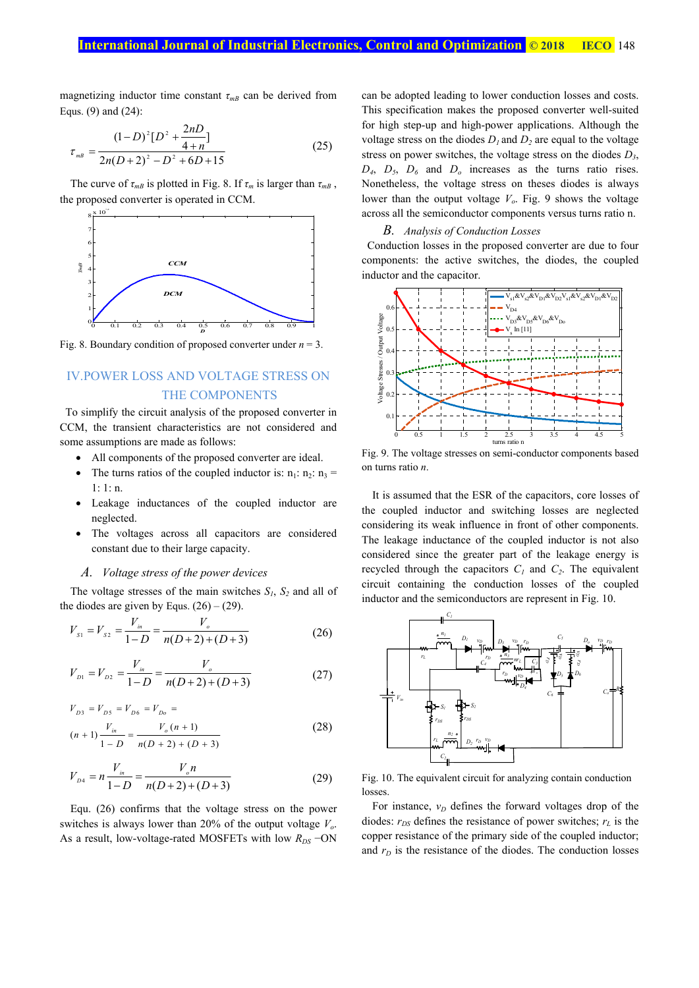magnetizing inductor time constant  $\tau_{m}$  can be derived from Equs. (9) and (24):

$$
\tau_{\scriptscriptstyle mB} = \frac{(1-D)^2 [D^2 + \frac{2nD}{4+n}]}{2n(D+2)^2 - D^2 + 6D + 15} \tag{25}
$$

The curve of  $\tau_{mB}$  is plotted in Fig. 8. If  $\tau_m$  is larger than  $\tau_{mB}$ , the proposed converter is operated in CCM.



Fig. 8. Boundary condition of proposed converter under *n* = 3.

## IV.POWER LOSS AND VOLTAGE STRESS ON THE COMPONENTS

To simplify the circuit analysis of the proposed converter in CCM, the transient characteristics are not considered and some assumptions are made as follows:

- All components of the proposed converter are ideal.
- The turns ratios of the coupled inductor is:  $n_1$ :  $n_2$ :  $n_3$  = 1: 1: n.
- Leakage inductances of the coupled inductor are neglected.
- The voltages across all capacitors are considered constant due to their large capacity.

### *A. Voltage stress of the power devices*

The voltage stresses of the main switches  $S_1$ ,  $S_2$  and all of the diodes are given by Equs.  $(26) - (29)$ .

$$
V_{s1} = V_{s2} = \frac{V_{in}}{1 - D} = \frac{V_o}{n(D + 2) + (D + 3)}
$$
(26)

$$
V_{D1} = V_{D2} = \frac{V_{in}}{1 - D} = \frac{V_o}{n(D + 2) + (D + 3)}
$$
(27)

$$
V_{D3} = V_{D5} = V_{D6} = V_{D0} =
$$
  
(n+1)
$$
\frac{V_{in}}{1 - D} = \frac{V_o(n+1)}{n(D+2) + (D+3)}
$$
(28)

$$
V_{D4} = n \frac{V_{in}}{1 - D} = \frac{V_{o}n}{n(D+2) + (D+3)}
$$
(29)

Equ. (26) confirms that the voltage stress on the power switches is always lower than 20% of the output voltage *Vo*. As a result, low-voltage-rated MOSFETs with low *R<sub>DS</sub>* −ON can be adopted leading to lower conduction losses and costs. This specification makes the proposed converter well-suited for high step-up and high-power applications. Although the voltage stress on the diodes  $D_1$  and  $D_2$  are equal to the voltage stress on power switches, the voltage stress on the diodes *D3*,  $D_4$ ,  $D_5$ ,  $D_6$  and  $D_0$  increases as the turns ratio rises. Nonetheless, the voltage stress on theses diodes is always lower than the output voltage  $V<sub>o</sub>$ . Fig. 9 shows the voltage across all the semiconductor components versus turns ratio n.

#### *B. Analysis of Conduction Losses*

Conduction losses in the proposed converter are due to four components: the active switches, the diodes, the coupled inductor and the capacitor.



Fig. 9. The voltage stresses on semi-conductor components based on turns ratio *n*.

It is assumed that the ESR of the capacitors, core losses of the coupled inductor and switching losses are neglected considering its weak influence in front of other components. The leakage inductance of the coupled inductor is not also considered since the greater part of the leakage energy is recycled through the capacitors  $C_1$  and  $C_2$ . The equivalent circuit containing the conduction losses of the coupled inductor and the semiconductors are represent in Fig. 10.



Fig. 10. The equivalent circuit for analyzing contain conduction losses.

For instance,  $v<sub>D</sub>$  defines the forward voltages drop of the diodes:  $r_{DS}$  defines the resistance of power switches;  $r_L$  is the copper resistance of the primary side of the coupled inductor; and  $r<sub>D</sub>$  is the resistance of the diodes. The conduction losses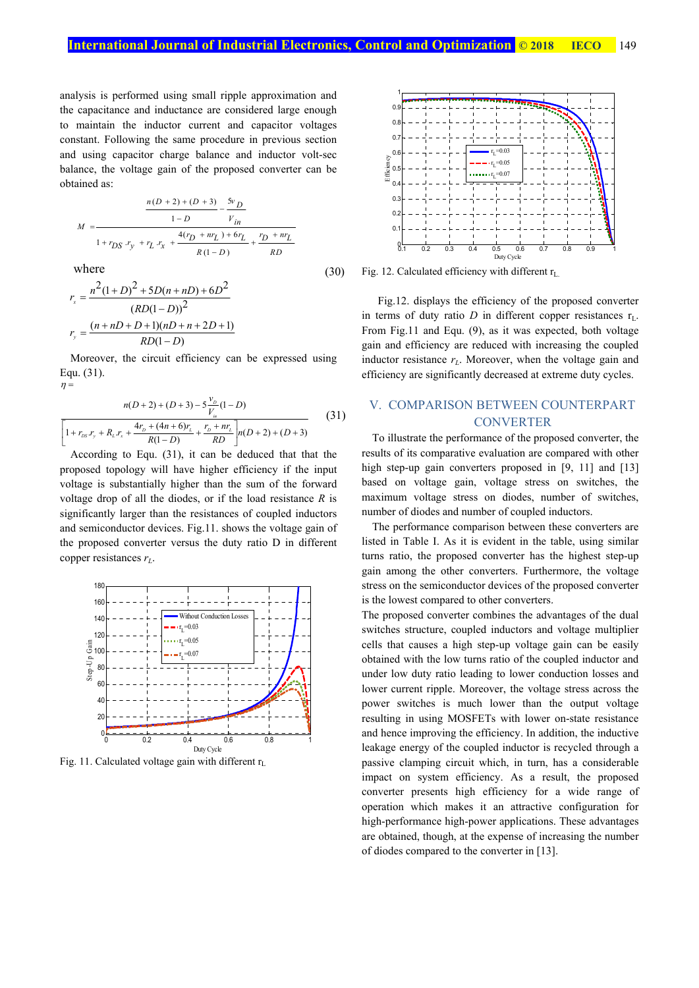analysis is performed using small ripple approximation and the capacitance and inductance are considered large enough to maintain the inductor current and capacitor voltages constant. Following the same procedure in previous section and using capacitor charge balance and inductor volt-sec balance, the voltage gain of the proposed converter can be obtained as:

$$
M = \frac{\frac{n(D+2) + (D+3)}{1 - D} - \frac{5v_D}{V_{in}}}{1 + r_{DS} \cdot r_y + r_L \cdot r_x + \frac{4(r_D + nr_L) + 6r_L}{R(1 - D)} + \frac{r_D + nr_L}{RD}}
$$

where

where  
\n
$$
r_x = \frac{n^2(1+D)^2 + 5D(n+nD) + 6D^2}{(RD(1-D))^2}
$$
\n
$$
r_y = \frac{(n+nD+D+1)(nD+n+2D+1)}{RD(1-D)}
$$
\n(30)

Moreover, the circuit efficiency can be expressed using Equ. (31).  $\eta =$ 

$$
n(D+2) + (D+3) - 5\frac{v_D}{V_m}(1-D)
$$
  
\n
$$
\left[1 + r_{DS}r_y + R_Lr_x + \frac{4r_D + (4n+6)r_L}{R(1-D)} + \frac{r_D + nr_L}{RD}\right]n(D+2) + (D+3)
$$
\n(31)

According to Equ. (31), it can be deduced that that the proposed topology will have higher efficiency if the input voltage is substantially higher than the sum of the forward voltage drop of all the diodes, or if the load resistance *R* is significantly larger than the resistances of coupled inductors and semiconductor devices. Fig.11. shows the voltage gain of the proposed converter versus the duty ratio D in different copper resistances *rL*.



Fig. 11. Calculated voltage gain with different  $r<sub>L</sub>$ 



Fig. 12. Calculated efficiency with different  $r<sub>L</sub>$ .

 Fig.12. displays the efficiency of the proposed converter in terms of duty ratio *D* in different copper resistances  $r_L$ . From Fig.11 and Equ. (9), as it was expected, both voltage gain and efficiency are reduced with increasing the coupled inductor resistance  $r<sub>L</sub>$ . Moreover, when the voltage gain and efficiency are significantly decreased at extreme duty cycles.

## V. COMPARISON BETWEEN COUNTERPART **CONVERTER**

To illustrate the performance of the proposed converter, the results of its comparative evaluation are compared with other high step-up gain converters proposed in [9, 11] and [13] based on voltage gain, voltage stress on switches, the maximum voltage stress on diodes, number of switches, number of diodes and number of coupled inductors.

The performance comparison between these converters are listed in Table I. As it is evident in the table, using similar turns ratio, the proposed converter has the highest step-up gain among the other converters. Furthermore, the voltage stress on the semiconductor devices of the proposed converter is the lowest compared to other converters.

The proposed converter combines the advantages of the dual switches structure, coupled inductors and voltage multiplier cells that causes a high step-up voltage gain can be easily obtained with the low turns ratio of the coupled inductor and under low duty ratio leading to lower conduction losses and lower current ripple. Moreover, the voltage stress across the power switches is much lower than the output voltage resulting in using MOSFETs with lower on-state resistance and hence improving the efficiency. In addition, the inductive leakage energy of the coupled inductor is recycled through a passive clamping circuit which, in turn, has a considerable impact on system efficiency. As a result, the proposed converter presents high efficiency for a wide range of operation which makes it an attractive configuration for high-performance high-power applications. These advantages are obtained, though, at the expense of increasing the number of diodes compared to the converter in [13].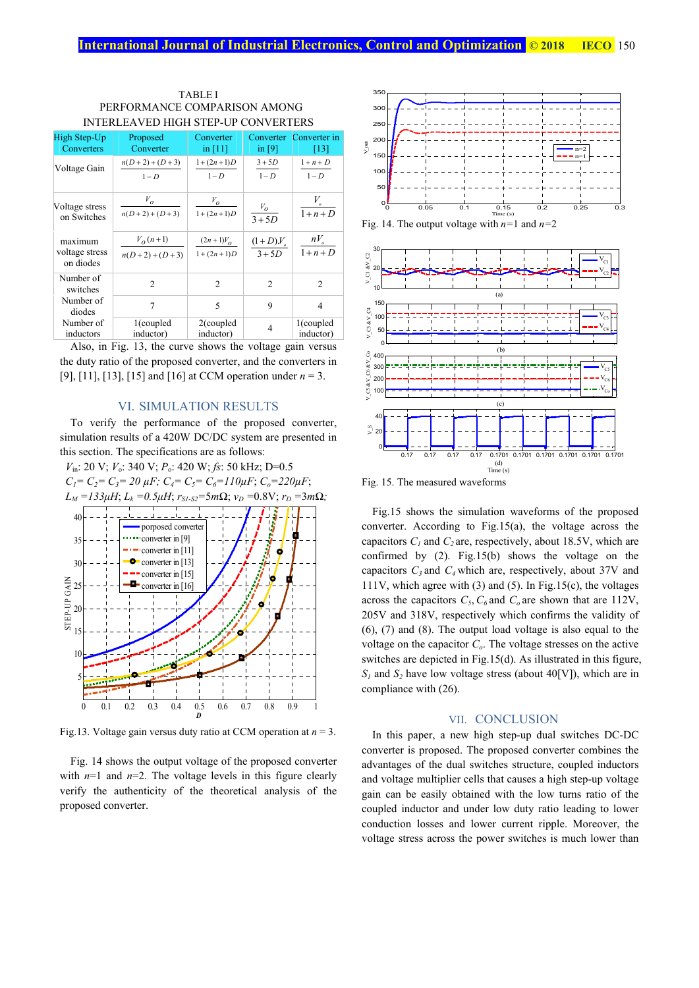| High Step-Up                           | Proposed                     | Converter                      | Converter                         | Converter in        |
|----------------------------------------|------------------------------|--------------------------------|-----------------------------------|---------------------|
| Converters                             | Converter                    | in $[11]$                      | in $[9]$                          | [13]                |
| Voltage Gain                           | $n(D+2)+(D+3)$               | $1 + (2n + 1)D$                | $3+5D$                            | $1+n+D$             |
|                                        | $1-D$                        | $1-D$                          | $1-D$                             | $1-D$               |
| Voltage stress                         | $V_{\boldsymbol{0}}$         | $V_{O}$                        | $V_o$                             | $V_{\circ}$         |
| on Switches                            | $n(D+2)+(D+3)$               | $1 + (2n + 1)D$                | $3 + 5D$                          | $1+n+D$             |
| maximum<br>voltage stress<br>on diodes | $V_o(n+1)$<br>$n(D+2)+(D+3)$ | $(2n+1)V_0$<br>$1 + (2n + 1)D$ | $\frac{(1+D)_{o}}{n}$<br>$3 + 5D$ | $nV_{o}$<br>$1+n+D$ |
| Number of<br>switches                  | $\mathfrak{D}$               | $\mathfrak{D}$                 | $\mathfrak{D}$                    | $\mathfrak{D}$      |
| Number of<br>diodes                    | 7                            | $\overline{\phantom{0}}$       | 9                                 | 4                   |
| Number of                              | $1$ (coupled                 | $2$ (coupled                   | 4                                 | 1(coupled           |
| inductors                              | inductor)                    | inductor)                      |                                   | inductor)           |

| <b>TABLEI</b>                       |
|-------------------------------------|
| PERFORMANCE COMPARISON AMONG        |
| INTERLEAVED HIGH STEP-UP CONVERTERS |

Also, in Fig. 13, the curve shows the voltage gain versus the duty ratio of the proposed converter, and the converters in [9], [11], [13], [15] and [16] at CCM operation under *n* = 3.

## VI. SIMULATION RESULTS

To verify the performance of the proposed converter, simulation results of a 420W DC/DC system are presented in this section. The specifications are as follows:



Fig.13. Voltage gain versus duty ratio at CCM operation at *n* = 3.

Fig. 14 shows the output voltage of the proposed converter with  $n=1$  and  $n=2$ . The voltage levels in this figure clearly verify the authenticity of the theoretical analysis of the proposed converter.



Fig. 14. The output voltage with *n=*1 and *n=*2



Fig. 15. The measured waveforms

Fig.15 shows the simulation waveforms of the proposed converter. According to Fig.15(a), the voltage across the capacitors  $C_1$  and  $C_2$  are, respectively, about 18.5V, which are confirmed by (2). Fig.15(b) shows the voltage on the capacitors  $C_3$  and  $C_4$  which are, respectively, about 37V and 111V, which agree with (3) and (5). In Fig.15(c), the voltages across the capacitors  $C_5$ ,  $C_6$  and  $C_9$  are shown that are 112V, 205V and 318V, respectively which confirms the validity of (6), (7) and (8). The output load voltage is also equal to the voltage on the capacitor *Co*. The voltage stresses on the active switches are depicted in Fig.15(d). As illustrated in this figure,  $S_1$  and  $S_2$  have low voltage stress (about 40[V]), which are in compliance with (26).

#### VII. CONCLUSION

In this paper, a new high step-up dual switches DC-DC converter is proposed. The proposed converter combines the advantages of the dual switches structure, coupled inductors and voltage multiplier cells that causes a high step-up voltage gain can be easily obtained with the low turns ratio of the coupled inductor and under low duty ratio leading to lower conduction losses and lower current ripple. Moreover, the voltage stress across the power switches is much lower than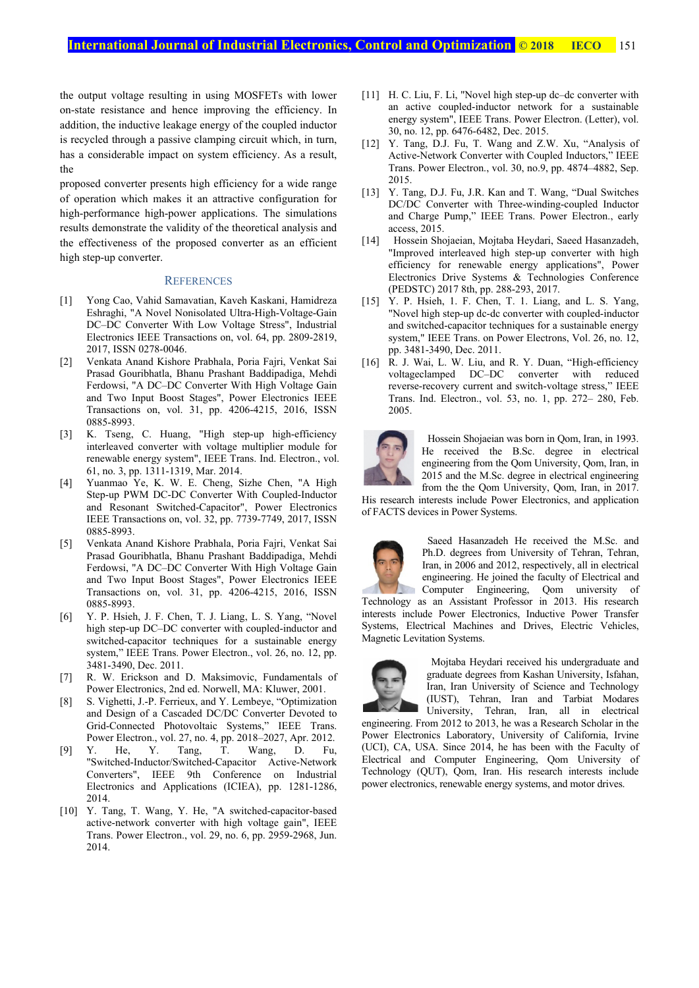the output voltage resulting in using MOSFETs with lower on-state resistance and hence improving the efficiency. In addition, the inductive leakage energy of the coupled inductor is recycled through a passive clamping circuit which, in turn, has a considerable impact on system efficiency. As a result, the

proposed converter presents high efficiency for a wide range of operation which makes it an attractive configuration for high-performance high-power applications. The simulations results demonstrate the validity of the theoretical analysis and the effectiveness of the proposed converter as an efficient high step-up converter.

### **REFERENCES**

- [1] Yong Cao, Vahid Samavatian, Kaveh Kaskani, Hamidreza Eshraghi, "A Novel Nonisolated Ultra-High-Voltage-Gain DC–DC Converter With Low Voltage Stress", Industrial Electronics IEEE Transactions on, vol. 64, pp. 2809-2819, 2017, ISSN 0278-0046.
- [2] Venkata Anand Kishore Prabhala, Poria Fajri, Venkat Sai Prasad Gouribhatla, Bhanu Prashant Baddipadiga, Mehdi Ferdowsi, "A DC–DC Converter With High Voltage Gain and Two Input Boost Stages", Power Electronics IEEE Transactions on, vol. 31, pp. 4206-4215, 2016, ISSN 0885-8993.
- [3] K. Tseng, C. Huang, "High step-up high-efficiency interleaved converter with voltage multiplier module for renewable energy system", IEEE Trans. Ind. Electron., vol. 61, no. 3, pp. 1311-1319, Mar. 2014.
- [4] Yuanmao Ye, K. W. E. Cheng, Sizhe Chen, "A High Step-up PWM DC-DC Converter With Coupled-Inductor and Resonant Switched-Capacitor", Power Electronics IEEE Transactions on, vol. 32, pp. 7739-7749, 2017, ISSN 0885-8993.
- [5] Venkata Anand Kishore Prabhala, Poria Fajri, Venkat Sai Prasad Gouribhatla, Bhanu Prashant Baddipadiga, Mehdi Ferdowsi, "A DC–DC Converter With High Voltage Gain and Two Input Boost Stages", Power Electronics IEEE Transactions on, vol. 31, pp. 4206-4215, 2016, ISSN 0885-8993.
- [6] Y. P. Hsieh, J. F. Chen, T. J. Liang, L. S. Yang, "Novel high step-up DC–DC converter with coupled-inductor and switched-capacitor techniques for a sustainable energy system," IEEE Trans. Power Electron., vol. 26, no. 12, pp. 3481-3490, Dec. 2011.
- [7] R. W. Erickson and D. Maksimovic, Fundamentals of Power Electronics, 2nd ed. Norwell, MA: Kluwer, 2001.
- [8] S. Vighetti, J.-P. Ferrieux, and Y. Lembeye, "Optimization and Design of a Cascaded DC/DC Converter Devoted to Grid-Connected Photovoltaic Systems," IEEE Trans. Power Electron., vol. 27, no. 4, pp. 2018–2027, Apr. 2012.
- [9] Y. He, Y. Tang, T. Wang, D. Fu, "Switched-Inductor/Switched-Capacitor Active-Network Converters", IEEE 9th Conference on Industrial Electronics and Applications (ICIEA), pp. 1281-1286, 2014.
- [10] Y. Tang, T. Wang, Y. He, "A switched-capacitor-based active-network converter with high voltage gain", IEEE Trans. Power Electron., vol. 29, no. 6, pp. 2959-2968, Jun. 2014.
- [11] H. C. Liu, F. Li, "Novel high step-up dc–dc converter with an active coupled-inductor network for a sustainable energy system", IEEE Trans. Power Electron. (Letter), vol. 30, no. 12, pp. 6476-6482, Dec. 2015.
- [12] Y. Tang, D.J. Fu, T. Wang and Z.W. Xu, "Analysis of Active-Network Converter with Coupled Inductors," IEEE Trans. Power Electron., vol. 30, no.9, pp. 4874–4882, Sep. 2015.
- [13] Y. Tang, D.J. Fu, J.R. Kan and T. Wang, "Dual Switches DC/DC Converter with Three-winding-coupled Inductor and Charge Pump," IEEE Trans. Power Electron., early access, 2015.
- [14] Hossein Shojaeian, Mojtaba Heydari, Saeed Hasanzadeh, "Improved interleaved high step-up converter with high efficiency for renewable energy applications", Power Electronics Drive Systems & Technologies Conference (PEDSTC) 2017 8th, pp. 288-293, 2017.
- [15] Y. P. Hsieh, 1. F. Chen, T. 1. Liang, and L. S. Yang, "Novel high step-up dc-dc converter with coupled-inductor and switched-capacitor techniques for a sustainable energy system," IEEE Trans. on Power Electrons, Vol. 26, no. 12, pp. 3481-3490, Dec. 2011.
- [16] R. J. Wai, L. W. Liu, and R. Y. Duan, "High-efficiency voltageclamped DC–DC converter with reduced reverse-recovery current and switch-voltage stress," IEEE Trans. Ind. Electron., vol. 53, no. 1, pp. 272– 280, Feb. 2005.



Hossein Shojaeian was born in Qom, Iran, in 1993. He received the B.Sc. degree in electrical engineering from the Qom University, Qom, Iran, in 2015 and the M.Sc. degree in electrical engineering from the the Qom University, Qom, Iran, in 2017.

His research interests include Power Electronics, and application of FACTS devices in Power Systems.



Saeed Hasanzadeh He received the M.Sc. and Ph.D. degrees from University of Tehran, Tehran, Iran, in 2006 and 2012, respectively, all in electrical engineering. He joined the faculty of Electrical and Computer Engineering, Qom university of Technology as an Assistant Professor in 2013. His research

interests include Power Electronics, Inductive Power Transfer Systems, Electrical Machines and Drives, Electric Vehicles, Magnetic Levitation Systems.



Mojtaba Heydari received his undergraduate and graduate degrees from Kashan University, Isfahan, Iran, Iran University of Science and Technology (IUST), Tehran, Iran and Tarbiat Modares University, Tehran, Iran, all in electrical

engineering. From 2012 to 2013, he was a Research Scholar in the Power Electronics Laboratory, University of California, Irvine (UCI), CA, USA. Since 2014, he has been with the Faculty of Electrical and Computer Engineering, Qom University of Technology (QUT), Qom, Iran. His research interests include power electronics, renewable energy systems, and motor drives.